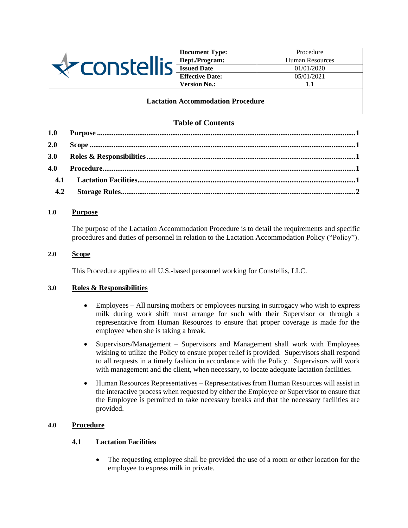

**Document Type:** Procedure **Dept./Program:** Human Resources **Issued Date** 01/01/2020 **Effective Date:** 05/01/2021 **Version No.:** 1.1

## **Lactation Accommodation Procedure**

# **Table of Contents**

| 2.0 |  |  |  |
|-----|--|--|--|
|     |  |  |  |
|     |  |  |  |
|     |  |  |  |
|     |  |  |  |

### <span id="page-0-0"></span>**1.0 Purpose**

The purpose of the Lactation Accommodation Procedure is to detail the requirements and specific procedures and duties of personnel in relation to the Lactation Accommodation Policy ("Policy").

### <span id="page-0-1"></span>**2.0 Scope**

This Procedure applies to all U.S.-based personnel working for Constellis, LLC.

## <span id="page-0-2"></span>**3.0 Roles & Responsibilities**

- Employees All nursing mothers or employees nursing in surrogacy who wish to express milk during work shift must arrange for such with their Supervisor or through a representative from Human Resources to ensure that proper coverage is made for the employee when she is taking a break.
- Supervisors/Management Supervisors and Management shall work with Employees wishing to utilize the Policy to ensure proper relief is provided. Supervisors shall respond to all requests in a timely fashion in accordance with the Policy. Supervisors will work with management and the client, when necessary, to locate adequate lactation facilities.
- Human Resources Representatives Representatives from Human Resources will assist in the interactive process when requested by either the Employee or Supervisor to ensure that the Employee is permitted to take necessary breaks and that the necessary facilities are provided.

# <span id="page-0-4"></span><span id="page-0-3"></span>**4.0 Procedure**

### **4.1 Lactation Facilities**

The requesting employee shall be provided the use of a room or other location for the employee to express milk in private.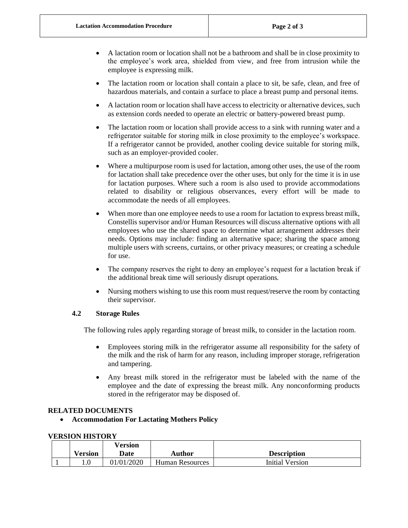- A lactation room or location shall not be a bathroom and shall be in close proximity to the employee's work area, shielded from view, and free from intrusion while the employee is expressing milk.
- The lactation room or location shall contain a place to sit, be safe, clean, and free of hazardous materials, and contain a surface to place a breast pump and personal items.
- A lactation room or location shall have access to electricity or alternative devices, such as extension cords needed to operate an electric or battery-powered breast pump.
- The lactation room or location shall provide access to a sink with running water and a refrigerator suitable for storing milk in close proximity to the employee's workspace. If a refrigerator cannot be provided, another cooling device suitable for storing milk, such as an employer-provided cooler.
- Where a multipurpose room is used for lactation, among other uses, the use of the room for lactation shall take precedence over the other uses, but only for the time it is in use for lactation purposes. Where such a room is also used to provide accommodations related to disability or religious observances, every effort will be made to accommodate the needs of all employees.
- When more than one employee needs to use a room for lactation to express breast milk, Constellis supervisor and/or Human Resources will discuss alternative options with all employees who use the shared space to determine what arrangement addresses their needs. Options may include: finding an alternative space; sharing the space among multiple users with screens, curtains, or other privacy measures; or creating a schedule for use.
- The company reserves the right to deny an employee's request for a lactation break if the additional break time will seriously disrupt operations.
- Nursing mothers wishing to use this room must request/reserve the room by contacting their supervisor.

### <span id="page-1-0"></span>**4.2 Storage Rules**

The following rules apply regarding storage of breast milk, to consider in the lactation room.

- Employees storing milk in the refrigerator assume all responsibility for the safety of the milk and the risk of harm for any reason, including improper storage, refrigeration and tampering.
- Any breast milk stored in the refrigerator must be labeled with the name of the employee and the date of expressing the breast milk. Any nonconforming products stored in the refrigerator may be disposed of.

### **RELATED DOCUMENTS**

• **Accommodation For Lactating Mothers Policy**

### **VERSION HISTORY**

|  |                | <b>Version</b> |                        |                    |
|--|----------------|----------------|------------------------|--------------------|
|  | <b>Version</b> | Date           | <b>Author</b>          | <b>Description</b> |
|  |                | 01/01/2020     | <b>Human Resources</b> | Initial Version    |